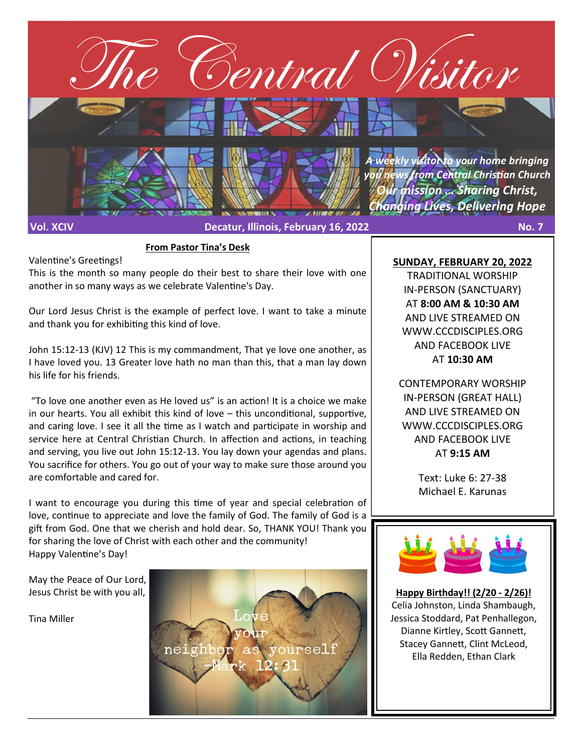

**From Pastor Tina's Desk**

This is the month so many people do their best to share their love with one another in so many ways as we celebrate Valentine's Day.

Our Lord Jesus Christ is the example of perfect love. I want to take a minute and thank you for exhibiting this kind of love.

John 15:12-13 (KJV) 12 This is my commandment, That ye love one another, as I have loved you. 13 Greater love hath no man than this, that a man lay down his life for his friends.

"To love one another even as He loved us" is an action! It is a choice we make in our hearts. You all exhibit this kind of love – this unconditional, supportive, and caring love. I see it all the time as I watch and participate in worship and service here at Central Christian Church. In affection and actions, in teaching and serving, you live out John 15:12-13. You lay down your agendas and plans. You sacrifice for others. You go out of your way to make sure those around you are comfortable and cared for.

I want to encourage you during this time of year and special celebration of love, continue to appreciate and love the family of God. The family of God is a gift from God. One that we cherish and hold dear. So, THANK YOU! Thank you for sharing the love of Christ with each other and the community! Happy Valentine's Day!

May the Peace of Our Lord, Jesus Christ be with you all,

Valentine's Greetings!

Tina Miller

neigh

**SUNDAY, FEBRUARY 20, 2022**

TRADITIONAL WORSHIP IN-PERSON (SANCTUARY) AT **8:00 AM & 10:30 AM**  AND LIVE STREAMED ON WWW.CCCDISCIPLES.ORG AND FACEBOOK LIVE AT **10:30 AM**

CONTEMPORARY WORSHIP IN-PERSON (GREAT HALL) AND LIVE STREAMED ON WWW.CCCDISCIPLES.ORG AND FACEBOOK LIVE AT **9:15 AM**

> Text: Luke 6: 27-38 Michael E. Karunas



**Happy Birthday!! (2/20 - 2/26)!** Celia Johnston, Linda Shambaugh, Jessica Stoddard, Pat Penhallegon, Dianne Kirtley, Scott Gannett, Stacey Gannett, Clint McLeod, Ella Redden, Ethan Clark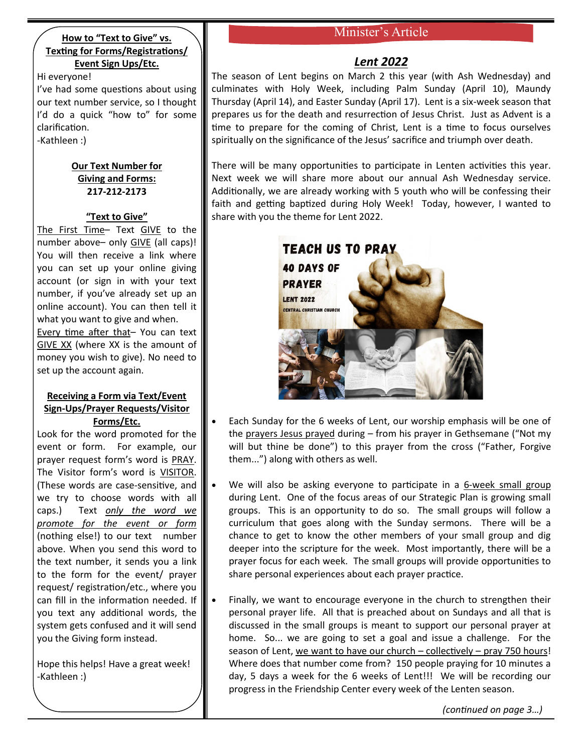### **How to "Text to Give" vs. Texting for Forms/Registrations/ Event Sign Ups/Etc.**

Hi everyone! I've had some questions about using our text number service, so I thought I'd do a quick "how to" for some clarification. -Kathleen :)

### **Our Text Number for Giving and Forms: 217-212-2173**

## **"Text to Give"**

The First Time- Text GIVE to the number above– only GIVE (all caps)! You will then receive a link where you can set up your online giving account (or sign in with your text number, if you've already set up an online account). You can then tell it what you want to give and when. Every time after that– You can text GIVE XX (where XX is the amount of money you wish to give). No need to set up the account again.

### **Receiving a Form via Text/Event Sign-Ups/Prayer Requests/Visitor Forms/Etc.**

Look for the word promoted for the event or form. For example, our prayer request form's word is PRAY. The Visitor form's word is VISITOR. (These words are case-sensitive, and we try to choose words with all caps.) Text *only the word we promote for the event or form* (nothing else!) to our text number above. When you send this word to the text number, it sends you a link to the form for the event/ prayer request/ registration/etc., where you can fill in the information needed. If you text any additional words, the system gets confused and it will send you the Giving form instead.

Hope this helps! Have a great week! -Kathleen :)

# Minister's Article

# *Lent 2022*

The season of Lent begins on March 2 this year (with Ash Wednesday) and culminates with Holy Week, including Palm Sunday (April 10), Maundy Thursday (April 14), and Easter Sunday (April 17). Lent is a six-week season that prepares us for the death and resurrection of Jesus Christ. Just as Advent is a time to prepare for the coming of Christ, Lent is a time to focus ourselves spiritually on the significance of the Jesus' sacrifice and triumph over death.

There will be many opportunities to participate in Lenten activities this year. Next week we will share more about our annual Ash Wednesday service. Additionally, we are already working with 5 youth who will be confessing their faith and getting baptized during Holy Week! Today, however, I wanted to share with you the theme for Lent 2022.



- Each Sunday for the 6 weeks of Lent, our worship emphasis will be one of the prayers Jesus prayed during – from his prayer in Gethsemane ("Not my will but thine be done") to this prayer from the cross ("Father, Forgive them...") along with others as well.
- We will also be asking everyone to participate in a 6-week small group during Lent. One of the focus areas of our Strategic Plan is growing small groups. This is an opportunity to do so. The small groups will follow a curriculum that goes along with the Sunday sermons. There will be a chance to get to know the other members of your small group and dig deeper into the scripture for the week. Most importantly, there will be a prayer focus for each week. The small groups will provide opportunities to share personal experiences about each prayer practice.
- Finally, we want to encourage everyone in the church to strengthen their personal prayer life. All that is preached about on Sundays and all that is discussed in the small groups is meant to support our personal prayer at home. So... we are going to set a goal and issue a challenge. For the season of Lent, we want to have our church – collectively – pray 750 hours! Where does that number come from? 150 people praying for 10 minutes a day, 5 days a week for the 6 weeks of Lent!!! We will be recording our progress in the Friendship Center every week of the Lenten season.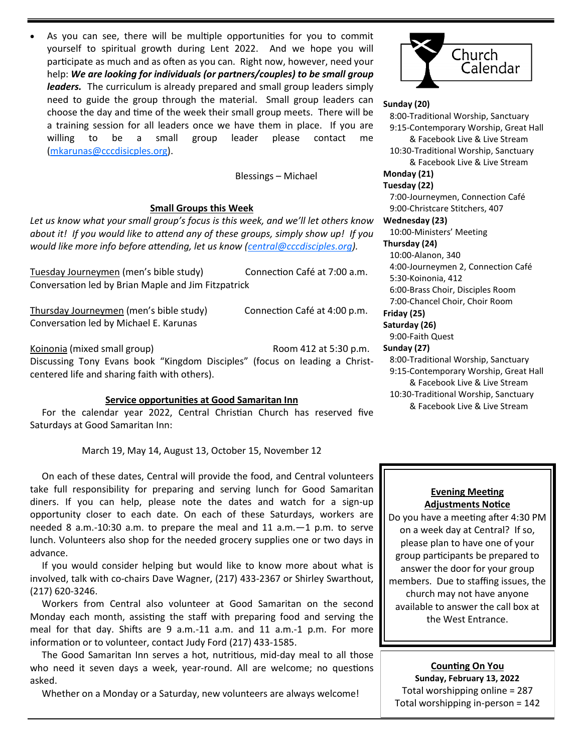As you can see, there will be multiple opportunities for you to commit yourself to spiritual growth during Lent 2022. And we hope you will participate as much and as often as you can. Right now, however, need your help: *We are looking for individuals (or partners/couples) to be small group leaders.* The curriculum is already prepared and small group leaders simply need to guide the group through the material. Small group leaders can choose the day and time of the week their small group meets. There will be a training session for all leaders once we have them in place. If you are willing to be a small group leader please contact me ([mkarunas@cccdisicples.org\).](mailto:mkarunas@cccdisicples.org)

Blessings – Michael

#### **Small Groups this Week**

*Let us know what your small group's focus is this week, and we'll let others know about it! If you would like to attend any of these groups, simply show up! If you would like more info before attending, let us know ([central@cccdisciples.org\)](mailto:central@cccdisciples.org).* 

Tuesday Journeymen (men's bible study) Connection Café at 7:00 a.m. Conversation led by Brian Maple and Jim Fitzpatrick

Thursday Journeymen (men's bible study) Connection Café at 4:00 p.m. Conversation led by Michael E. Karunas

Koinonia (mixed small group) Room 412 at 5:30 p.m. Discussing Tony Evans book "Kingdom Disciples" (focus on leading a Christcentered life and sharing faith with others).

#### **Service opportunities at Good Samaritan Inn**

 For the calendar year 2022, Central Christian Church has reserved five Saturdays at Good Samaritan Inn:

March 19, May 14, August 13, October 15, November 12

 On each of these dates, Central will provide the food, and Central volunteers take full responsibility for preparing and serving lunch for Good Samaritan diners. If you can help, please note the dates and watch for a sign-up opportunity closer to each date. On each of these Saturdays, workers are needed 8 a.m.-10:30 a.m. to prepare the meal and 11 a.m.—1 p.m. to serve lunch. Volunteers also shop for the needed grocery supplies one or two days in advance.

 If you would consider helping but would like to know more about what is involved, talk with co-chairs Dave Wagner, (217) 433-2367 or Shirley Swarthout, (217) 620-3246.

 Workers from Central also volunteer at Good Samaritan on the second Monday each month, assisting the staff with preparing food and serving the meal for that day. Shifts are 9 a.m.-11 a.m. and 11 a.m.-1 p.m. For more information or to volunteer, contact Judy Ford (217) 433-1585.

 The Good Samaritan Inn serves a hot, nutritious, mid-day meal to all those who need it seven days a week, year-round. All are welcome; no questions asked.

Whether on a Monday or a Saturday, new volunteers are always welcome!



#### **Sunday (20)**

 8:00-Traditional Worship, Sanctuary 9:15-Contemporary Worship, Great Hall & Facebook Live & Live Stream 10:30-Traditional Worship, Sanctuary & Facebook Live & Live Stream **Monday (21) Tuesday (22)** 7:00-Journeymen, Connection Café 9:00-Christcare Stitchers, 407 **Wednesday (23)** 10:00-Ministers' Meeting **Thursday (24)** 10:00-Alanon, 340 4:00-Journeymen 2, Connection Café 5:30-Koinonia, 412 6:00-Brass Choir, Disciples Room 7:00-Chancel Choir, Choir Room **Friday (25) Saturday (26)** 9:00-Faith Quest **Sunday (27)**

 8:00-Traditional Worship, Sanctuary 9:15-Contemporary Worship, Great Hall & Facebook Live & Live Stream 10:30-Traditional Worship, Sanctuary & Facebook Live & Live Stream

### **Evening Meeting Adjustments Notice**

Do you have a meeting after 4:30 PM on a week day at Central? If so, please plan to have one of your group participants be prepared to answer the door for your group members. Due to staffing issues, the church may not have anyone available to answer the call box at the West Entrance.

**Counting On You Sunday, February 13, 2022** Total worshipping online = 287 Total worshipping in-person = 142